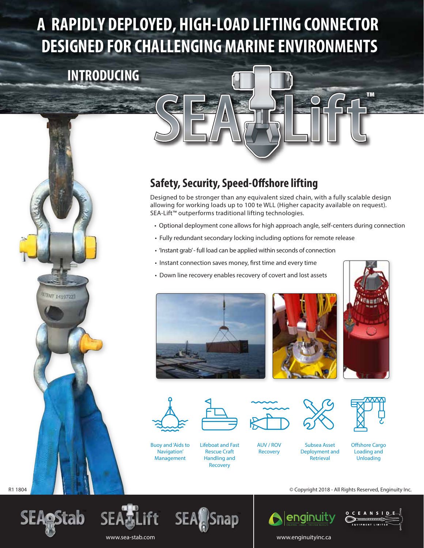## **A RAPIDLY DEPLOYED, HIGH-LOAD LIFTING CONNECTOR DESIGNED FOR CHALLENGING MARINE ENVIRONMENTS**

## **INTRODUCING**





## **Safety, Security, Speed-Offshore lifting**

Designed to be stronger than any equivalent sized chain, with a fully scalable design allowing for working loads up to 100 te WLL (Higher capacity available on request). SEA-Lift™ outperforms traditional lifting technologies.

- Optional deployment cone allows for high approach angle, self-centers during connection
- • Fully redundant secondary locking including options for remote release
- • 'Instant grab' full load can be applied within seconds of connection
- Instant connection saves money, first time and every time
- • Down line recovery enables recovery of covert and lost assets







**™**



Buoy and 'Aids to Navigation' Management



Lifeboat and Fast Rescue Craft Handling and Recovery



AUV / ROV Recovery



Subsea Asset Deployment and Retrieval



Offshore Cargo Loading and Unloading











www.sea-stab.com www.enginuityinc.ca